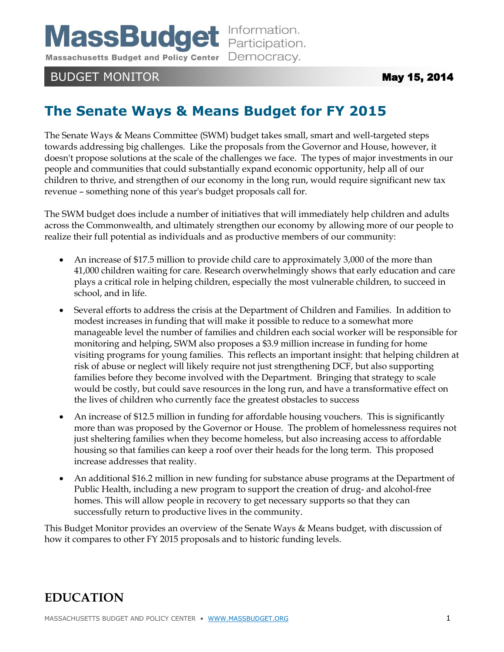**MassBudget** Information.

Massachusetts Budget and Policy Center Democracy.

## BUDGET MONITOR **May 15, 2014**

# **The Senate Ways & Means Budget for FY 2015**

The Senate Ways & Means Committee (SWM) budget takes small, smart and well-targeted steps towards addressing big challenges. Like the proposals from the Governor and House, however, it doesn't propose solutions at the scale of the challenges we face. The types of major investments in our people and communities that could substantially expand economic opportunity, help all of our children to thrive, and strengthen of our economy in the long run, would require significant new tax revenue – something none of this year's budget proposals call for.

The SWM budget does include a number of initiatives that will immediately help children and adults across the Commonwealth, and ultimately strengthen our economy by allowing more of our people to realize their full potential as individuals and as productive members of our community:

- An increase of \$17.5 million to provide child care to approximately 3,000 of the more than 41,000 children waiting for care. Research overwhelmingly shows that early education and care plays a critical role in helping children, especially the most vulnerable children, to succeed in school, and in life.
- Several efforts to address the crisis at the Department of Children and Families. In addition to modest increases in funding that will make it possible to reduce to a somewhat more manageable level the number of families and children each social worker will be responsible for monitoring and helping, SWM also proposes a \$3.9 million increase in funding for home visiting programs for young families. This reflects an important insight: that helping children at risk of abuse or neglect will likely require not just strengthening DCF, but also supporting families before they become involved with the Department. Bringing that strategy to scale would be costly, but could save resources in the long run, and have a transformative effect on the lives of children who currently face the greatest obstacles to success
- An increase of \$12.5 million in funding for affordable housing vouchers. This is significantly more than was proposed by the Governor or House. The problem of homelessness requires not just sheltering families when they become homeless, but also increasing access to affordable housing so that families can keep a roof over their heads for the long term. This proposed increase addresses that reality.
- An additional \$16.2 million in new funding for substance abuse programs at the Department of Public Health, including a new program to support the creation of drug- and alcohol-free homes. This will allow people in recovery to get necessary supports so that they can successfully return to productive lives in the community.

This Budget Monitor provides an overview of the Senate Ways & Means budget, with discussion of how it compares to other FY 2015 proposals and to historic funding levels.

# **EDUCATION**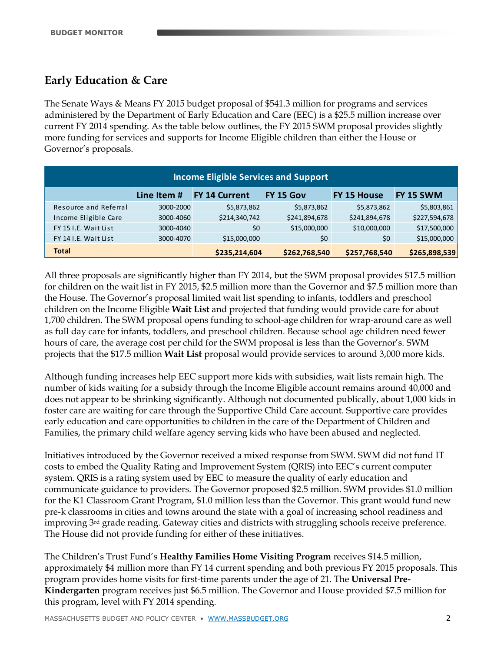## **Early Education & Care**

The Senate Ways & Means FY 2015 budget proposal of \$541.3 million for programs and services administered by the Department of Early Education and Care (EEC) is a \$25.5 million increase over current FY 2014 spending. As the table below outlines, the FY 2015 SWM proposal provides slightly more funding for services and supports for Income Eligible children than either the House or Governor's proposals.

| <b>Income Eligible Services and Support</b> |             |                      |               |               |               |  |  |  |
|---------------------------------------------|-------------|----------------------|---------------|---------------|---------------|--|--|--|
|                                             | Line Item # | <b>FY 14 Current</b> | FY 15 Gov     | FY 15 House   | FY 15 SWM     |  |  |  |
| Resource and Referral                       | 3000-2000   | \$5,873,862          | \$5,873,862   | \$5,873,862   | \$5,803,861   |  |  |  |
| Income Eligible Care                        | 3000-4060   | \$214,340,742        | \$241,894,678 | \$241,894,678 | \$227,594,678 |  |  |  |
| FY 15 I.E. Wait List                        | 3000-4040   | $50^{\circ}$         | \$15,000,000  | \$10,000,000  | \$17,500,000  |  |  |  |
| FY 14 I.E. Wait List                        | 3000-4070   | \$15,000,000         | \$0           | \$0           | \$15,000,000  |  |  |  |
| <b>Total</b>                                |             | \$235,214,604        | \$262,768,540 | \$257,768,540 | \$265,898,539 |  |  |  |

All three proposals are significantly higher than FY 2014, but the SWM proposal provides \$17.5 million for children on the wait list in FY 2015, \$2.5 million more than the Governor and \$7.5 million more than the House. The Governor's proposal limited wait list spending to infants, toddlers and preschool children on the Income Eligible **Wait List** and projected that funding would provide care for about 1,700 children. The SWM proposal opens funding to school-age children for wrap-around care as well as full day care for infants, toddlers, and preschool children. Because school age children need fewer hours of care, the average cost per child for the SWM proposal is less than the Governor's. SWM projects that the \$17.5 million **Wait List** proposal would provide services to around 3,000 more kids.

Although funding increases help EEC support more kids with subsidies, wait lists remain high. The number of kids waiting for a subsidy through the Income Eligible account remains around 40,000 and does not appear to be shrinking significantly. Although not documented publically, about 1,000 kids in foster care are waiting for care through the Supportive Child Care account. Supportive care provides early education and care opportunities to children in the care of the Department of Children and Families, the primary child welfare agency serving kids who have been abused and neglected.

Initiatives introduced by the Governor received a mixed response from SWM. SWM did not fund IT costs to embed the Quality Rating and Improvement System (QRIS) into EEC's current computer system. QRIS is a rating system used by EEC to measure the quality of early education and communicate guidance to providers. The Governor proposed \$2.5 million. SWM provides \$1.0 million for the K1 Classroom Grant Program, \$1.0 million less than the Governor. This grant would fund new pre-k classrooms in cities and towns around the state with a goal of increasing school readiness and improving 3rd grade reading. Gateway cities and districts with struggling schools receive preference. The House did not provide funding for either of these initiatives.

The Children's Trust Fund's **Healthy Families Home Visiting Program** receives \$14.5 million, approximately \$4 million more than FY 14 current spending and both previous FY 2015 proposals. This program provides home visits for first-time parents under the age of 21. The **Universal Pre-Kindergarten** program receives just \$6.5 million. The Governor and House provided \$7.5 million for this program, level with FY 2014 spending.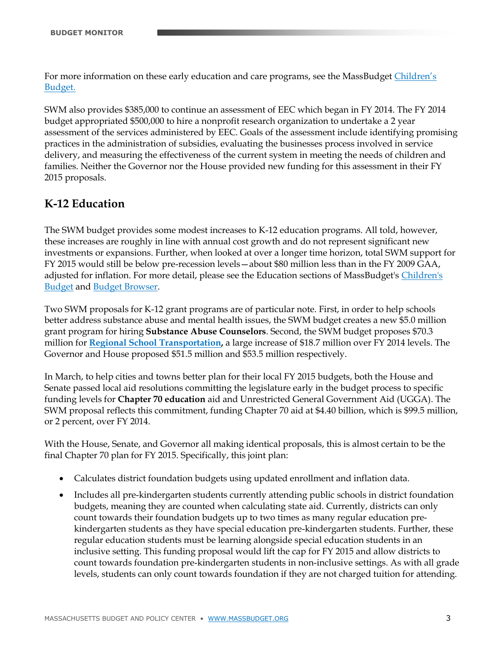For more information on these early education and care programs, see the MassBudget [Children's](http://children.massbudget.org/early-ed-care)  [Budget.](http://children.massbudget.org/early-ed-care)

SWM also provides \$385,000 to continue an assessment of EEC which began in FY 2014. The FY 2014 budget appropriated \$500,000 to hire a nonprofit research organization to undertake a 2 year assessment of the services administered by EEC. Goals of the assessment include identifying promising practices in the administration of subsidies, evaluating the businesses process involved in service delivery, and measuring the effectiveness of the current system in meeting the needs of children and families. Neither the Governor nor the House provided new funding for this assessment in their FY 2015 proposals.

## **K-12 Education**

The SWM budget provides some modest increases to K-12 education programs. All told, however, these increases are roughly in line with annual cost growth and do not represent significant new investments or expansions. Further, when looked at over a longer time horizon, total SWM support for FY 2015 would still be below pre-recession levels—about \$80 million less than in the FY 2009 GAA, adjusted for inflation. For more detail, please see the Education sections of MassBudget'[s Children's](http://children.massbudget.org/k-12)  [Budget](http://children.massbudget.org/k-12) and [Budget Browser.](http://www.massbudget.org/browser/cat.php?id=Education&inflation=cpi)

Two SWM proposals for K-12 grant programs are of particular note. First, in order to help schools better address substance abuse and mental health issues, the SWM budget creates a new \$5.0 million grant program for hiring **Substance Abuse Counselors**. Second, the SWM budget proposes \$70.3 million for **[Regional School Transportation,](http://children.massbudget.org/transportation-pupils-regional-school-districts)** a large increase of \$18.7 million over FY 2014 levels. The Governor and House proposed \$51.5 million and \$53.5 million respectively.

In March, to help cities and towns better plan for their local FY 2015 budgets, both the House and Senate passed local aid resolutions committing the legislature early in the budget process to specific funding levels for **Chapter 70 education** aid and Unrestricted General Government Aid (UGGA). The SWM proposal reflects this commitment, funding Chapter 70 aid at \$4.40 billion, which is \$99.5 million, or 2 percent, over FY 2014.

With the House, Senate, and Governor all making identical proposals, this is almost certain to be the final Chapter 70 plan for FY 2015. Specifically, this joint plan:

- Calculates district foundation budgets using updated enrollment and inflation data.
- Includes all pre-kindergarten students currently attending public schools in district foundation budgets, meaning they are counted when calculating state aid. Currently, districts can only count towards their foundation budgets up to two times as many regular education prekindergarten students as they have special education pre-kindergarten students. Further, these regular education students must be learning alongside special education students in an inclusive setting. This funding proposal would lift the cap for FY 2015 and allow districts to count towards foundation pre-kindergarten students in non-inclusive settings. As with all grade levels, students can only count towards foundation if they are not charged tuition for attending.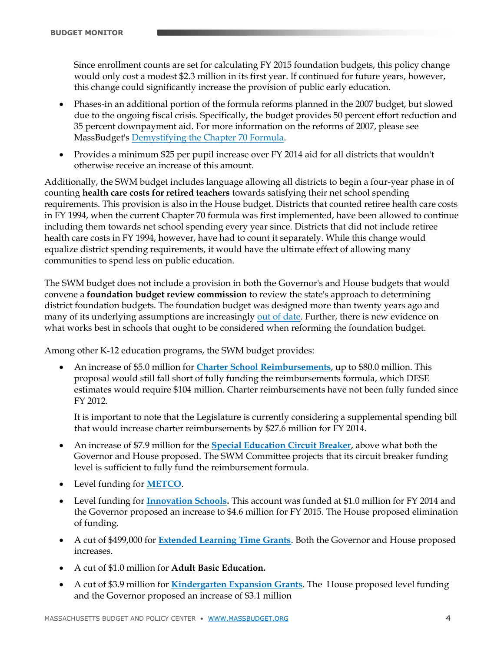Since enrollment counts are set for calculating FY 2015 foundation budgets, this policy change would only cost a modest \$2.3 million in its first year. If continued for future years, however, this change could significantly increase the provision of public early education.

- Phases-in an additional portion of the formula reforms planned in the 2007 budget, but slowed due to the ongoing fiscal crisis. Specifically, the budget provides 50 percent effort reduction and 35 percent downpayment aid. For more information on the reforms of 2007, please see MassBudget's [Demystifying the Chapter 70 Formula.](http://www.massbudget.org/report_window.php?loc=Facts_10_22_10.html)
- Provides a minimum \$25 per pupil increase over FY 2014 aid for all districts that wouldn't otherwise receive an increase of this amount.

Additionally, the SWM budget includes language allowing all districts to begin a four-year phase in of counting **health care costs for retired teachers** towards satisfying their net school spending requirements. This provision is also in the House budget. Districts that counted retiree health care costs in FY 1994, when the current Chapter 70 formula was first implemented, have been allowed to continue including them towards net school spending every year since. Districts that did not include retiree health care costs in FY 1994, however, have had to count it separately. While this change would equalize district spending requirements, it would have the ultimate effect of allowing many communities to spend less on public education.

The SWM budget does not include a provision in both the Governor's and House budgets that would convene a **foundation budget review commission** to review the state's approach to determining district foundation budgets. The foundation budget was designed more than twenty years ago and many of its underlying assumptions are increasingly [out of date.](http://massbudget.org/report_window.php?loc=Cutting_Class.html) Further, there is new evidence on what works best in schools that ought to be considered when reforming the foundation budget.

Among other K-12 education programs, the SWM budget provides:

 An increase of \$5.0 million for **[Charter School Reimbursements](http://children.massbudget.org/charter-school-reimbursement)**, up to \$80.0 million. This proposal would still fall short of fully funding the reimbursements formula, which DESE estimates would require \$104 million. Charter reimbursements have not been fully funded since FY 2012.

It is important to note that the Legislature is currently considering a supplemental spending bill that would increase charter reimbursements by \$27.6 million for FY 2014.

- An increase of \$7.9 million for the **[Special Education](http://children.massbudget.org/special-education-circuit-breaker) Circuit Breaker**, above what both the Governor and House proposed. The SWM Committee projects that its circuit breaker funding level is sufficient to fully fund the reimbursement formula.
- Level funding for **[METCO](http://children.massbudget.org/programs-eliminate-racial-imbalance-metco)**.
- Level funding for **[Innovation Schools.](http://children.massbudget.org/innovation-schools)** This account was funded at \$1.0 million for FY 2014 and the Governor proposed an increase to \$4.6 million for FY 2015. The House proposed elimination of funding.
- A cut of \$499,000 for **[Extended Learning Time Grants](http://children.massbudget.org/extended-learning-time-grants)**. Both the Governor and House proposed increases.
- A cut of \$1.0 million for **Adult Basic Education.**
- A cut of \$3.9 million for **[Kindergarten Expansion Grants](http://children.massbudget.org/kindergarten-development-grants)**. The House proposed level funding and the Governor proposed an increase of \$3.1 million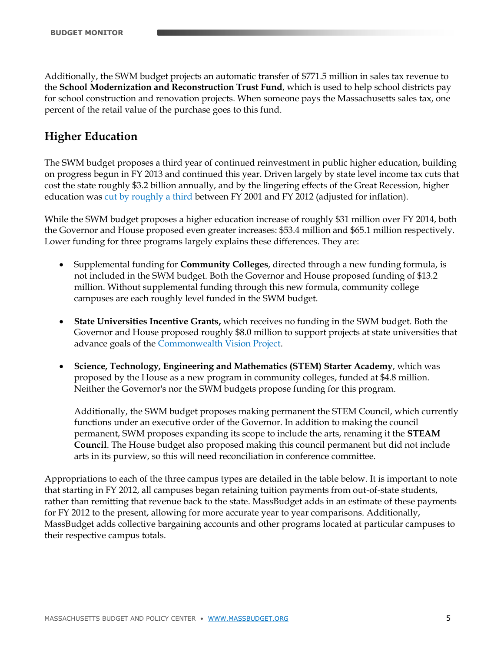Additionally, the SWM budget projects an automatic transfer of \$771.5 million in sales tax revenue to the **School Modernization and Reconstruction Trust Fund**, which is used to help school districts pay for school construction and renovation projects. When someone pays the Massachusetts sales tax, one percent of the retail value of the purchase goes to this fund.

## **Higher Education**

The SWM budget proposes a third year of continued reinvestment in public higher education, building on progress begun in FY 2013 and continued this year. Driven largely by state level income tax cuts that cost the state roughly \$3.2 billion annually, and by the lingering effects of the Great Recession, higher education was [cut by roughly a third](http://www.massbudget.org/browser/subcat.php?c1=1&c2=12&id=Higher+Education&inflation=cpi&budgets=315b14b13b12b11b10b9b8b7b6b5b4b3b2b1#comparisons) between FY 2001 and FY 2012 (adjusted for inflation).

While the SWM budget proposes a higher education increase of roughly \$31 million over FY 2014, both the Governor and House proposed even greater increases: \$53.4 million and \$65.1 million respectively. Lower funding for three programs largely explains these differences. They are:

- Supplemental funding for **Community Colleges**, directed through a new funding formula, is not included in the SWM budget. Both the Governor and House proposed funding of \$13.2 million. Without supplemental funding through this new formula, community college campuses are each roughly level funded in the SWM budget.
- **State Universities Incentive Grants,** which receives no funding in the SWM budget. Both the Governor and House proposed roughly \$8.0 million to support projects at state universities that advance goals of the [Commonwealth Vision Project.](http://www.mass.edu/visionproject/)
- **Science, Technology, Engineering and Mathematics (STEM) Starter Academy**, which was proposed by the House as a new program in community colleges, funded at \$4.8 million. Neither the Governor's nor the SWM budgets propose funding for this program.

Additionally, the SWM budget proposes making permanent the STEM Council, which currently functions under an executive order of the Governor. In addition to making the council permanent, SWM proposes expanding its scope to include the arts, renaming it the **STEAM Council**. The House budget also proposed making this council permanent but did not include arts in its purview, so this will need reconciliation in conference committee.

Appropriations to each of the three campus types are detailed in the table below. It is important to note that starting in FY 2012, all campuses began retaining tuition payments from out-of-state students, rather than remitting that revenue back to the state. MassBudget adds in an estimate of these payments for FY 2012 to the present, allowing for more accurate year to year comparisons. Additionally, MassBudget adds collective bargaining accounts and other programs located at particular campuses to their respective campus totals.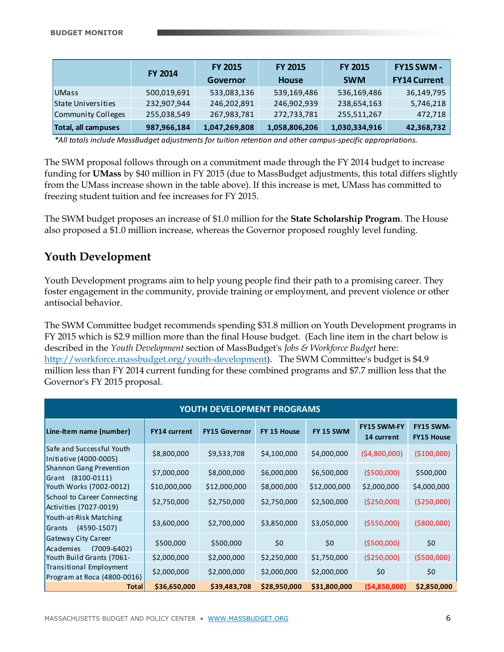|                     | <b>FY 2014</b> | <b>FY 2015</b><br>Governor | <b>FY 2015</b><br>House | <b>FY 2015</b><br><b>SWM</b> | <b>FY15 SWM -</b><br><b>FY14 Current</b> |
|---------------------|----------------|----------------------------|-------------------------|------------------------------|------------------------------------------|
| UMass               | 500,019,691    | 533,083,136                | 539,169,486             | 536,169,486                  | 36,149,795                               |
| State Universities  | 232,907,944    | 246,202,891                | 246,902,939             | 238,654,163                  | 5,746,218                                |
| Community Colleges  | 255,038,549    | 267,983,781                | 272,733,781             | 255,511,267                  | 472,718                                  |
| Total, all campuses | 987,966,184    | 1,047,269,808              | 1,058,806,206           | 1,030,334,916                | 42,368,732                               |

*\*All totals include MassBudget adjustments for tuition retention and other campus-specific appropriations.*

The SWM proposal follows through on a commitment made through the FY 2014 budget to increase funding for **UMass** by \$40 million in FY 2015 (due to MassBudget adjustments, this total differs slightly from the UMass increase shown in the table above). If this increase is met, UMass has committed to freezing student tuition and fee increases for FY 2015.

The SWM budget proposes an increase of \$1.0 million for the **State Scholarship Program**. The House also proposed a \$1.0 million increase, whereas the Governor proposed roughly level funding.

### **Youth Development**

Youth Development programs aim to help young people find their path to a promising career. They foster engagement in the community, provide training or employment, and prevent violence or other antisocial behavior.

The SWM Committee budget recommends spending \$31.8 million on Youth Development programs in FY 2015 which is \$2.9 million more than the final House budget. (Each line item in the chart below is described in the *Youth Development* section of MassBudget's *Jobs & Workforce Budget* here: [http://workforce.massbudget.org/youth-development\)](http://workforce.massbudget.org/youth-development). The SWM Committee's budget is \$4.9 million less than FY 2014 current funding for these combined programs and \$7.7 million less that the Governor's FY 2015 proposal.

| <b>YOUTH DEVELOPMENT PROGRAMS</b>                      |                     |                      |              |              |                                  |                                       |  |
|--------------------------------------------------------|---------------------|----------------------|--------------|--------------|----------------------------------|---------------------------------------|--|
| Line-Item name (number)                                | <b>FY14 current</b> | <b>FY15 Governor</b> | FY 15 House  | FY 15 SWM    | <b>FY15 SWM-FY</b><br>14 current | <b>FY15 SWM-</b><br><b>FY15 House</b> |  |
| Safe and Successful Youth<br>Initiative (4000-0005)    | \$8,800,000         | \$9,533,708          | \$4,100,000  | \$4,000,000  | (54,800,000)                     | (\$100,000)                           |  |
| Shannon Gang Prevention<br>Grant (8100-0111)           | \$7,000,000         | \$8,000,000          | \$6,000,000  | \$6,500,000  | (5500,000)                       | \$500,000                             |  |
| Youth Works (7002-0012)                                | \$10,000,000        | \$12,000,000         | \$8,000,000  | \$12,000,000 | \$2,000,000                      | \$4,000,000                           |  |
| School to Career Connecting<br>Activities (7027-0019)  | \$2,750,000         | \$2,750,000          | \$2,750,000  | \$2,500,000  | ( \$250,000]                     | ( \$250,000]                          |  |
| Youth-at-Risk Matching<br>$(4590-1507)$<br>Grants      | \$3,600,000         | \$2,700,000          | \$3,850,000  | \$3,050,000  | ( \$550,000]                     | ( \$800,000)                          |  |
| Gateway City Career<br>$(7009 - 6402)$<br>Academies    | \$500,000           | \$500,000            | \$0          | \$0          | (5500,000)                       | \$0                                   |  |
| Youth Build Grants (7061-                              | \$2,000,000         | \$2,000,000          | \$2,250,000  | \$1,750,000  | (\$250,000)                      | (5500,000)                            |  |
| Transitional Employment<br>Program at Roca (4800-0016) | \$2,000,000         | \$2,000,000          | \$2,000,000  | \$2,000,000  | \$0                              | \$0                                   |  |
| <b>Total</b>                                           | \$36,650,000        | \$39,483,708         | \$28,950,000 | \$31,800,000 | ( \$4,850,000]                   | \$2,850,000                           |  |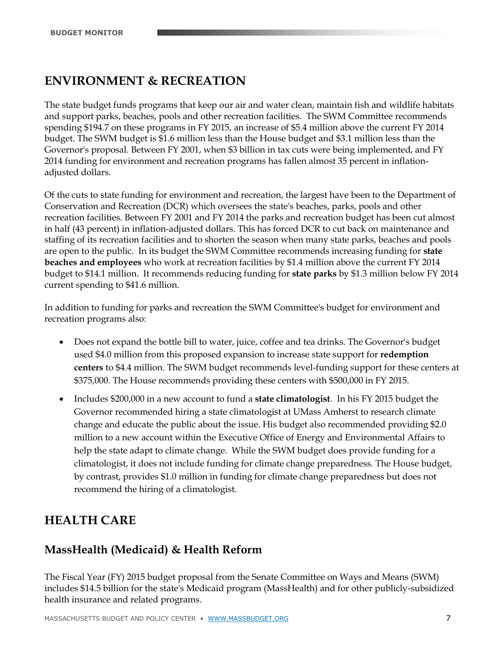# **ENVIRONMENT & RECREATION**

The state budget funds programs that keep our air and water clean, maintain fish and wildlife habitats and support parks, beaches, pools and other recreation facilities. The SWM Committee recommends spending \$194.7 on these programs in FY 2015, an increase of \$5.4 million above the current FY 2014 budget. The SWM budget is \$1.6 million less than the House budget and \$3.1 million less than the Governor's proposal. Between FY 2001, when \$3 billion in tax cuts were being implemented, and FY 2014 funding for environment and recreation programs has fallen almost 35 percent in inflationadjusted dollars.

Of the cuts to state funding for environment and recreation, the largest have been to the Department of Conservation and Recreation (DCR) which oversees the state's beaches, parks, pools and other recreation facilities. Between FY 2001 and FY 2014 the parks and recreation budget has been cut almost in half (43 percent) in inflation-adjusted dollars. This has forced DCR to cut back on maintenance and staffing of its recreation facilities and to shorten the season when many state parks, beaches and pools are open to the public. In its budget the SWM Committee recommends increasing funding for **state beaches and employees** who work at recreation facilities by \$1.4 million above the current FY 2014 budget to \$14.1 million. It recommends reducing funding for **state parks** by \$1.3 million below FY 2014 current spending to \$41.6 million.

In addition to funding for parks and recreation the SWM Committee's budget for environment and recreation programs also:

- Does not expand the bottle bill to water, juice, coffee and tea drinks. The Governor's budget used \$4.0 million from this proposed expansion to increase state support for **redemption centers** to \$4.4 million. The SWM budget recommends level-funding support for these centers at \$375,000. The House recommends providing these centers with \$500,000 in FY 2015.
- Includes \$200,000 in a new account to fund a **state climatologist**. In his FY 2015 budget the Governor recommended hiring a state climatologist at UMass Amherst to research climate change and educate the public about the issue. His budget also recommended providing \$2.0 million to a new account within the Executive Office of Energy and Environmental Affairs to help the state adapt to climate change. While the SWM budget does provide funding for a climatologist, it does not include funding for climate change preparedness. The House budget, by contrast, provides \$1.0 million in funding for climate change preparedness but does not recommend the hiring of a climatologist.

# **HEALTH CARE**

## **MassHealth (Medicaid) & Health Reform**

The Fiscal Year (FY) 2015 budget proposal from the Senate Committee on Ways and Means (SWM) includes \$14.5 billion for the state's Medicaid program (MassHealth) and for other publicly-subsidized health insurance and related programs.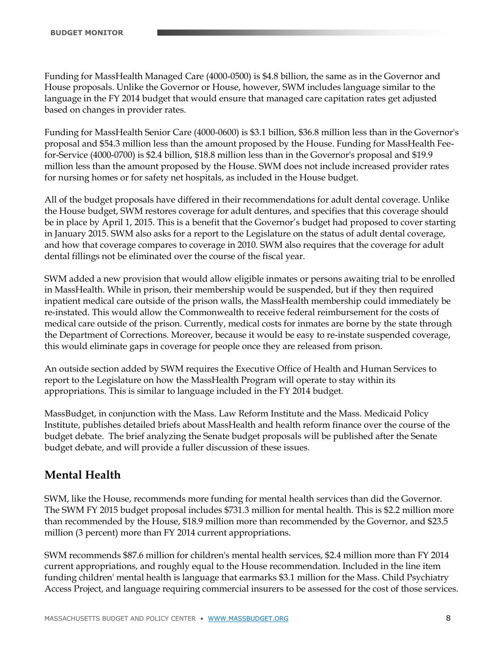Funding for MassHealth Managed Care (4000-0500) is \$4.8 billion, the same as in the Governor and House proposals. Unlike the Governor or House, however, SWM includes language similar to the language in the FY 2014 budget that would ensure that managed care capitation rates get adjusted based on changes in provider rates.

Funding for MassHealth Senior Care (4000-0600) is \$3.1 billion, \$36.8 million less than in the Governor's proposal and \$54.3 million less than the amount proposed by the House. Funding for MassHealth Feefor-Service (4000-0700) is \$2.4 billion, \$18.8 million less than in the Governor's proposal and \$19.9 million less than the amount proposed by the House. SWM does not include increased provider rates for nursing homes or for safety net hospitals, as included in the House budget.

All of the budget proposals have differed in their recommendations for adult dental coverage. Unlike the House budget, SWM restores coverage for adult dentures, and specifies that this coverage should be in place by April 1, 2015. This is a benefit that the Governor's budget had proposed to cover starting in January 2015. SWM also asks for a report to the Legislature on the status of adult dental coverage, and how that coverage compares to coverage in 2010. SWM also requires that the coverage for adult dental fillings not be eliminated over the course of the fiscal year.

SWM added a new provision that would allow eligible inmates or persons awaiting trial to be enrolled in MassHealth. While in prison, their membership would be suspended, but if they then required inpatient medical care outside of the prison walls, the MassHealth membership could immediately be re-instated. This would allow the Commonwealth to receive federal reimbursement for the costs of medical care outside of the prison. Currently, medical costs for inmates are borne by the state through the Department of Corrections. Moreover, because it would be easy to re-instate suspended coverage, this would eliminate gaps in coverage for people once they are released from prison.

An outside section added by SWM requires the Executive Office of Health and Human Services to report to the Legislature on how the MassHealth Program will operate to stay within its appropriations. This is similar to language included in the FY 2014 budget.

MassBudget, in conjunction with the Mass. Law Reform Institute and the Mass. Medicaid Policy Institute, publishes detailed briefs about MassHealth and health reform finance over the course of the budget debate. The brief analyzing the Senate budget proposals will be published after the Senate budget debate, and will provide a fuller discussion of these issues.

## **Mental Health**

SWM, like the House, recommends more funding for mental health services than did the Governor. The SWM FY 2015 budget proposal includes \$731.3 million for mental health. This is \$2.2 million more than recommended by the House, \$18.9 million more than recommended by the Governor, and \$23.5 million (3 percent) more than FY 2014 current appropriations.

SWM recommends \$87.6 million for children's mental health services, \$2.4 million more than FY 2014 current appropriations, and roughly equal to the House recommendation. Included in the line item funding children' mental health is language that earmarks \$3.1 million for the Mass. Child Psychiatry Access Project, and language requiring commercial insurers to be assessed for the cost of those services.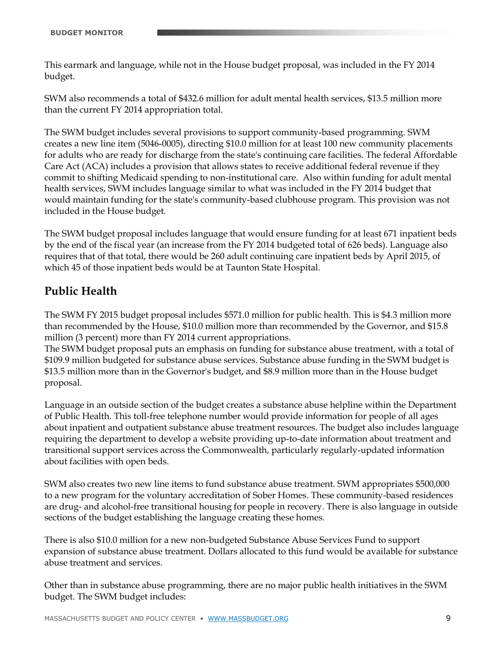This earmark and language, while not in the House budget proposal, was included in the FY 2014 budget.

SWM also recommends a total of \$432.6 million for adult mental health services, \$13.5 million more than the current FY 2014 appropriation total.

The SWM budget includes several provisions to support community-based programming. SWM creates a new line item (5046-0005), directing \$10.0 million for at least 100 new community placements for adults who are ready for discharge from the state's continuing care facilities. The federal Affordable Care Act (ACA) includes a provision that allows states to receive additional federal revenue if they commit to shifting Medicaid spending to non-institutional care. Also within funding for adult mental health services, SWM includes language similar to what was included in the FY 2014 budget that would maintain funding for the state's community-based clubhouse program. This provision was not included in the House budget.

The SWM budget proposal includes language that would ensure funding for at least 671 inpatient beds by the end of the fiscal year (an increase from the FY 2014 budgeted total of 626 beds). Language also requires that of that total, there would be 260 adult continuing care inpatient beds by April 2015, of which 45 of those inpatient beds would be at Taunton State Hospital.

## **Public Health**

The SWM FY 2015 budget proposal includes \$571.0 million for public health. This is \$4.3 million more than recommended by the House, \$10.0 million more than recommended by the Governor, and \$15.8 million (3 percent) more than FY 2014 current appropriations.

The SWM budget proposal puts an emphasis on funding for substance abuse treatment, with a total of \$109.9 million budgeted for substance abuse services. Substance abuse funding in the SWM budget is \$13.5 million more than in the Governor's budget, and \$8.9 million more than in the House budget proposal.

Language in an outside section of the budget creates a substance abuse helpline within the Department of Public Health. This toll-free telephone number would provide information for people of all ages about inpatient and outpatient substance abuse treatment resources. The budget also includes language requiring the department to develop a website providing up-to-date information about treatment and transitional support services across the Commonwealth, particularly regularly-updated information about facilities with open beds.

SWM also creates two new line items to fund substance abuse treatment. SWM appropriates \$500,000 to a new program for the voluntary accreditation of Sober Homes. These community-based residences are drug- and alcohol-free transitional housing for people in recovery. There is also language in outside sections of the budget establishing the language creating these homes.

There is also \$10.0 million for a new non-budgeted Substance Abuse Services Fund to support expansion of substance abuse treatment. Dollars allocated to this fund would be available for substance abuse treatment and services.

Other than in substance abuse programming, there are no major public health initiatives in the SWM budget. The SWM budget includes: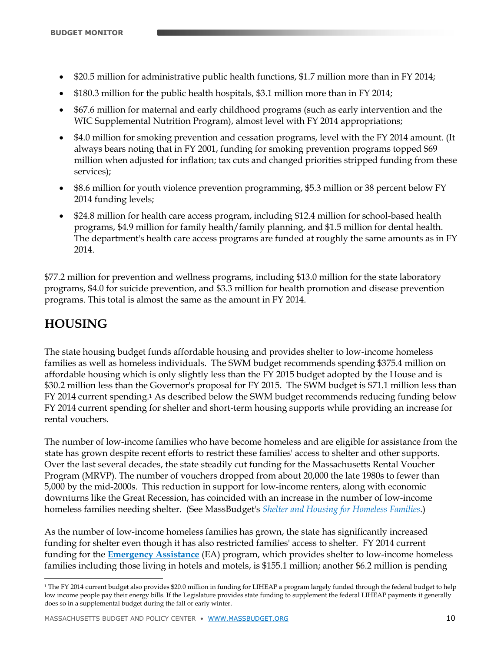- \$20.5 million for administrative public health functions, \$1.7 million more than in FY 2014;
- \$180.3 million for the public health hospitals, \$3.1 million more than in FY 2014;
- \$67.6 million for maternal and early childhood programs (such as early intervention and the WIC Supplemental Nutrition Program), almost level with FY 2014 appropriations;
- \$4.0 million for smoking prevention and cessation programs, level with the FY 2014 amount. (It always bears noting that in FY 2001, funding for smoking prevention programs topped \$69 million when adjusted for inflation; tax cuts and changed priorities stripped funding from these services);
- \$8.6 million for youth violence prevention programming, \$5.3 million or 38 percent below FY 2014 funding levels;
- \$24.8 million for health care access program, including \$12.4 million for school-based health programs, \$4.9 million for family health/family planning, and \$1.5 million for dental health. The department's health care access programs are funded at roughly the same amounts as in FY 2014.

\$77.2 million for prevention and wellness programs, including \$13.0 million for the state laboratory programs, \$4.0 for suicide prevention, and \$3.3 million for health promotion and disease prevention programs. This total is almost the same as the amount in FY 2014.

# **HOUSING**

 $\ddot{\phantom{a}}$ 

The state housing budget funds affordable housing and provides shelter to low-income homeless families as well as homeless individuals. The SWM budget recommends spending \$375.4 million on affordable housing which is only slightly less than the FY 2015 budget adopted by the House and is \$30.2 million less than the Governor's proposal for FY 2015. The SWM budget is \$71.1 million less than FY 2014 current spending.<sup>1</sup> As described below the SWM budget recommends reducing funding below FY 2014 current spending for shelter and short-term housing supports while providing an increase for rental vouchers.

The number of low-income families who have become homeless and are eligible for assistance from the state has grown despite recent efforts to restrict these families' access to shelter and other supports. Over the last several decades, the state steadily cut funding for the Massachusetts Rental Voucher Program (MRVP). The number of vouchers dropped from about 20,000 the late 1980s to fewer than 5,000 by the mid-2000s. This reduction in support for low-income renters, along with economic downturns like the Great Recession, has coincided with an increase in the number of low-income homeless families needing shelter. (See MassBudget's *[Shelter and Housing for Homeless Families](http://www.massbudget.org/report_window.php?loc=Shelter%20and%20Housing%20for%20Homeless%20Families.html)*.)

As the number of low-income homeless families has grown, the state has significantly increased funding for shelter even though it has also restricted families' access to shelter. FY 2014 current funding for the **[Emergency Assistance](http://children.massbudget.org/emergency-assistance-family-shelter-and-services)** (EA) program, which provides shelter to low-income homeless families including those living in hotels and motels, is \$155.1 million; another \$6.2 million is pending

<sup>&</sup>lt;sup>1</sup> The FY 2014 current budget also provides \$20.0 million in funding for LIHEAP a program largely funded through the federal budget to help low income people pay their energy bills. If the Legislature provides state funding to supplement the federal LIHEAP payments it generally does so in a supplemental budget during the fall or early winter.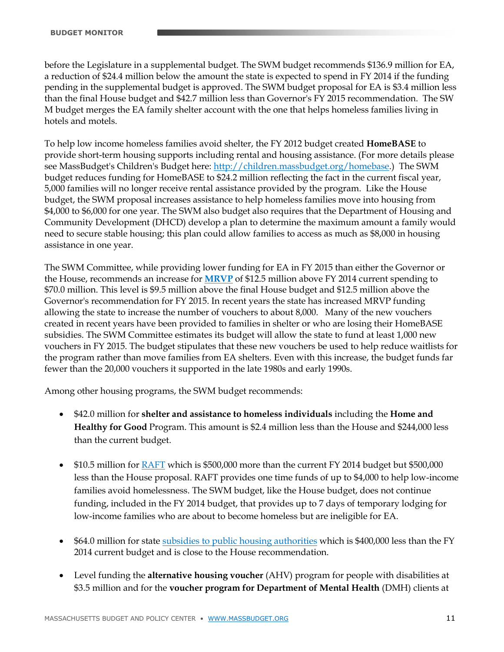before the Legislature in a supplemental budget. The SWM budget recommends \$136.9 million for EA, a reduction of \$24.4 million below the amount the state is expected to spend in FY 2014 if the funding pending in the supplemental budget is approved. The SWM budget proposal for EA is \$3.4 million less than the final House budget and \$42.7 million less than Governor's FY 2015 recommendation. The SW M budget merges the EA family shelter account with the one that helps homeless families living in hotels and motels.

To help low income homeless families avoid shelter, the FY 2012 budget created **HomeBASE** to provide short-term housing supports including rental and housing assistance. (For more details please see MassBudget's Children's Budget here: [http://children.massbudget.org/homebase.](http://children.massbudget.org/homebase)) The SWM budget reduces funding for HomeBASE to \$24.2 million reflecting the fact in the current fiscal year, 5,000 families will no longer receive rental assistance provided by the program. Like the House budget, the SWM proposal increases assistance to help homeless families move into housing from \$4,000 to \$6,000 for one year. The SWM also budget also requires that the Department of Housing and Community Development (DHCD) develop a plan to determine the maximum amount a family would need to secure stable housing; this plan could allow families to access as much as \$8,000 in housing assistance in one year.

The SWM Committee, while providing lower funding for EA in FY 2015 than either the Governor or the House, recommends an increase for **[MRVP](http://children.massbudget.org/massachusetts-rental-voucher-program)** of \$12.5 million above FY 2014 current spending to \$70.0 million. This level is \$9.5 million above the final House budget and \$12.5 million above the Governor's recommendation for FY 2015. In recent years the state has increased MRVP funding allowing the state to increase the number of vouchers to about 8,000. Many of the new vouchers created in recent years have been provided to families in shelter or who are losing their HomeBASE subsidies. The SWM Committee estimates its budget will allow the state to fund at least 1,000 new vouchers in FY 2015. The budget stipulates that these new vouchers be used to help reduce waitlists for the program rather than move families from EA shelters. Even with this increase, the budget funds far fewer than the 20,000 vouchers it supported in the late 1980s and early 1990s.

Among other housing programs, the SWM budget recommends:

- \$42.0 million for **shelter and assistance to homeless individuals** including the **Home and Healthy for Good** Program. This amount is \$2.4 million less than the House and \$244,000 less than the current budget.
- \$10.5 million for [RAFT](http://children.massbudget.org/residential-assistance-families-transition-raft) which is \$500,000 more than the current FY 2014 budget but \$500,000 less than the House proposal. RAFT provides one time funds of up to \$4,000 to help low-income families avoid homelessness. The SWM budget, like the House budget, does not continue funding, included in the FY 2014 budget, that provides up to 7 days of temporary lodging for low-income families who are about to become homeless but are ineligible for EA.
- \$64.0 million for state [subsidies to public housing authorities](http://children.massbudget.org/subsidies-public-housing-authorities) which is \$400,000 less than the FY 2014 current budget and is close to the House recommendation.
- Level funding the **alternative housing voucher** (AHV) program for people with disabilities at \$3.5 million and for the **voucher program for Department of Mental Health** (DMH) clients at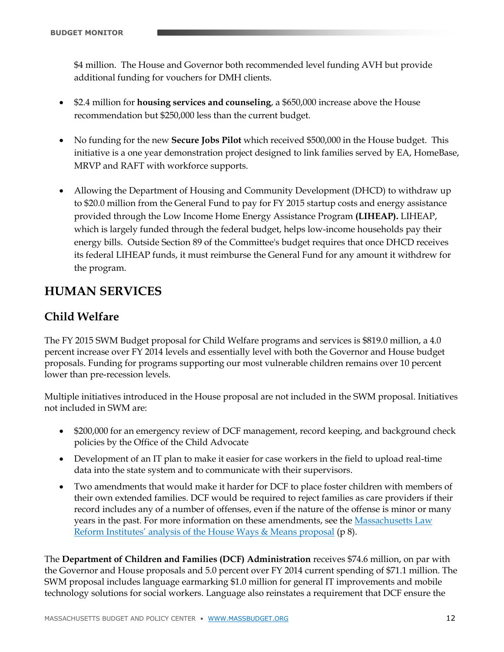\$4 million. The House and Governor both recommended level funding AVH but provide additional funding for vouchers for DMH clients.

- \$2.4 million for **housing services and counseling**, a \$650,000 increase above the House recommendation but \$250,000 less than the current budget.
- No funding for the new **Secure Jobs Pilot** which received \$500,000 in the House budget. This initiative is a one year demonstration project designed to link families served by EA, HomeBase, MRVP and RAFT with workforce supports.
- Allowing the Department of Housing and Community Development (DHCD) to withdraw up to \$20.0 million from the General Fund to pay for FY 2015 startup costs and energy assistance provided through the Low Income Home Energy Assistance Program **(LIHEAP).** LIHEAP, which is largely funded through the federal budget, helps low-income households pay their energy bills. Outside Section 89 of the Committee's budget requires that once DHCD receives its federal LIHEAP funds, it must reimburse the General Fund for any amount it withdrew for the program.

# **HUMAN SERVICES**

## **Child Welfare**

The FY 2015 SWM Budget proposal for Child Welfare programs and services is \$819.0 million, a 4.0 percent increase over FY 2014 levels and essentially level with both the Governor and House budget proposals. Funding for programs supporting our most vulnerable children remains over 10 percent lower than pre-recession levels.

Multiple initiatives introduced in the House proposal are not included in the SWM proposal. Initiatives not included in SWM are:

- \$200,000 for an emergency review of DCF management, record keeping, and background check policies by the Office of the Child Advocate
- Development of an IT plan to make it easier for case workers in the field to upload real-time data into the state system and to communicate with their supervisors.
- Two amendments that would make it harder for DCF to place foster children with members of their own extended families. DCF would be required to reject families as care providers if their record includes any of a number of offenses, even if the nature of the offense is minor or many years in the past. For more information on these amendments, see th[e Massachusetts Law](http://www.mlri.org/uploads/60/9c/609ce6ef58a2cc83516941cd2c5a7c13/FY15HWMFinal2.pdf)  [Reform Institutes' analysis of the House](http://www.mlri.org/uploads/60/9c/609ce6ef58a2cc83516941cd2c5a7c13/FY15HWMFinal2.pdf) Ways & Means proposal (p 8).

The **Department of Children and Families (DCF) Administration** receives \$74.6 million, on par with the Governor and House proposals and 5.0 percent over FY 2014 current spending of \$71.1 million. The SWM proposal includes language earmarking \$1.0 million for general IT improvements and mobile technology solutions for social workers. Language also reinstates a requirement that DCF ensure the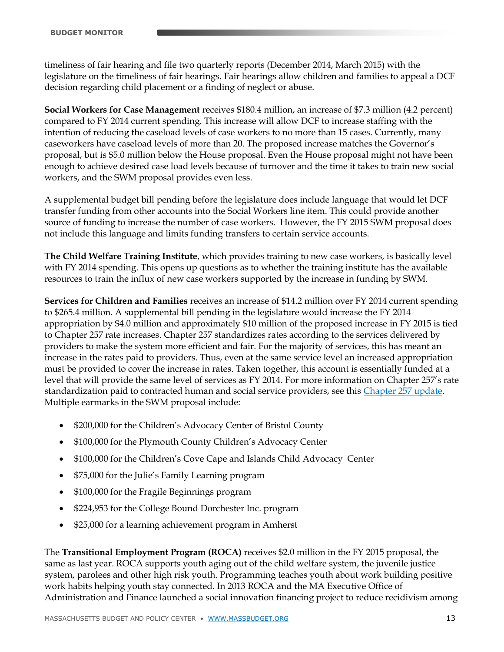timeliness of fair hearing and file two quarterly reports (December 2014, March 2015) with the legislature on the timeliness of fair hearings. Fair hearings allow children and families to appeal a DCF decision regarding child placement or a finding of neglect or abuse.

**Social Workers for Case Management** receives \$180.4 million, an increase of \$7.3 million (4.2 percent) compared to FY 2014 current spending. This increase will allow DCF to increase staffing with the intention of reducing the caseload levels of case workers to no more than 15 cases. Currently, many caseworkers have caseload levels of more than 20. The proposed increase matches the Governor's proposal, but is \$5.0 million below the House proposal. Even the House proposal might not have been enough to achieve desired case load levels because of turnover and the time it takes to train new social workers, and the SWM proposal provides even less.

A supplemental budget bill pending before the legislature does include language that would let DCF transfer funding from other accounts into the Social Workers line item. This could provide another source of funding to increase the number of case workers. However, the FY 2015 SWM proposal does not include this language and limits funding transfers to certain service accounts.

**The Child Welfare Training Institute**, which provides training to new case workers, is basically level with FY 2014 spending. This opens up questions as to whether the training institute has the available resources to train the influx of new case workers supported by the increase in funding by SWM.

**Services for Children and Families** receives an increase of \$14.2 million over FY 2014 current spending to \$265.4 million. A supplemental bill pending in the legislature would increase the FY 2014 appropriation by \$4.0 million and approximately \$10 million of the proposed increase in FY 2015 is tied to Chapter 257 rate increases. Chapter 257 standardizes rates according to the services delivered by providers to make the system more efficient and fair. For the majority of services, this has meant an increase in the rates paid to providers. Thus, even at the same service level an increased appropriation must be provided to cover the increase in rates. Taken together, this account is essentially funded at a level that will provide the same level of services as FY 2014. For more information on Chapter 257's rate standardization paid to contracted human and social service providers, see this [Chapter 257 update.](http://www.mass.gov/eohhs/provider/contracting/chap257/) Multiple earmarks in the SWM proposal include:

- \$200,000 for the Children's Advocacy Center of Bristol County
- \$100,000 for the Plymouth County Children's Advocacy Center
- \$100,000 for the Children's Cove Cape and Islands Child Advocacy Center
- \$75,000 for the Julie's Family Learning program
- \$100,000 for the Fragile Beginnings program
- \$224,953 for the College Bound Dorchester Inc. program
- \$25,000 for a learning achievement program in Amherst

The **Transitional Employment Program (ROCA)** receives \$2.0 million in the FY 2015 proposal, the same as last year. ROCA supports youth aging out of the child welfare system, the juvenile justice system, parolees and other high risk youth. Programming teaches youth about work building positive work habits helping youth stay connected. In 2013 ROCA and the MA Executive Office of Administration and Finance launched a social innovation financing project to reduce recidivism among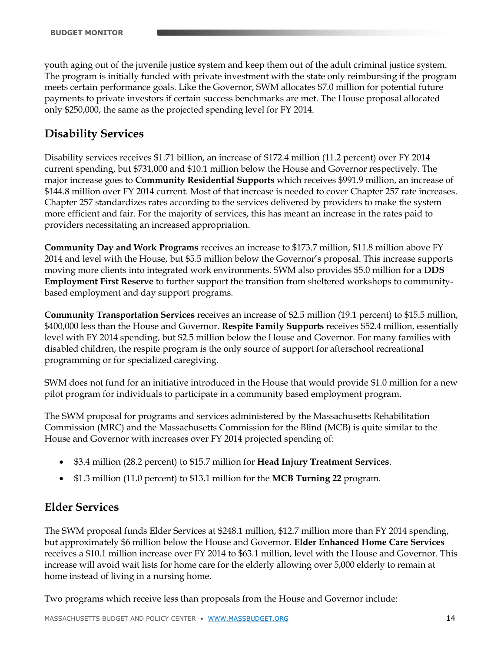youth aging out of the juvenile justice system and keep them out of the adult criminal justice system. The program is initially funded with private investment with the state only reimbursing if the program meets certain performance goals. Like the Governor, SWM allocates \$7.0 million for potential future payments to private investors if certain success benchmarks are met. The House proposal allocated only \$250,000, the same as the projected spending level for FY 2014.

### **Disability Services**

Disability services receives \$1.71 billion, an increase of \$172.4 million (11.2 percent) over FY 2014 current spending, but \$731,000 and \$10.1 million below the House and Governor respectively. The major increase goes to **Community Residential Supports** which receives \$991.9 million, an increase of \$144.8 million over FY 2014 current. Most of that increase is needed to cover Chapter 257 rate increases. Chapter 257 standardizes rates according to the services delivered by providers to make the system more efficient and fair. For the majority of services, this has meant an increase in the rates paid to providers necessitating an increased appropriation.

**Community Day and Work Programs** receives an increase to \$173.7 million, \$11.8 million above FY 2014 and level with the House, but \$5.5 million below the Governor's proposal. This increase supports moving more clients into integrated work environments. SWM also provides \$5.0 million for a **DDS Employment First Reserve** to further support the transition from sheltered workshops to communitybased employment and day support programs.

**Community Transportation Services** receives an increase of \$2.5 million (19.1 percent) to \$15.5 million, \$400,000 less than the House and Governor. **Respite Family Supports** receives \$52.4 million, essentially level with FY 2014 spending, but \$2.5 million below the House and Governor. For many families with disabled children, the respite program is the only source of support for afterschool recreational programming or for specialized caregiving.

SWM does not fund for an initiative introduced in the House that would provide \$1.0 million for a new pilot program for individuals to participate in a community based employment program.

The SWM proposal for programs and services administered by the Massachusetts Rehabilitation Commission (MRC) and the Massachusetts Commission for the Blind (MCB) is quite similar to the House and Governor with increases over FY 2014 projected spending of:

- \$3.4 million (28.2 percent) to \$15.7 million for **Head Injury Treatment Services**.
- \$1.3 million (11.0 percent) to \$13.1 million for the **MCB Turning 22** program.

#### **Elder Services**

The SWM proposal funds Elder Services at \$248.1 million, \$12.7 million more than FY 2014 spending, but approximately \$6 million below the House and Governor. **Elder Enhanced Home Care Services** receives a \$10.1 million increase over FY 2014 to \$63.1 million, level with the House and Governor. This increase will avoid wait lists for home care for the elderly allowing over 5,000 elderly to remain at home instead of living in a nursing home.

Two programs which receive less than proposals from the House and Governor include: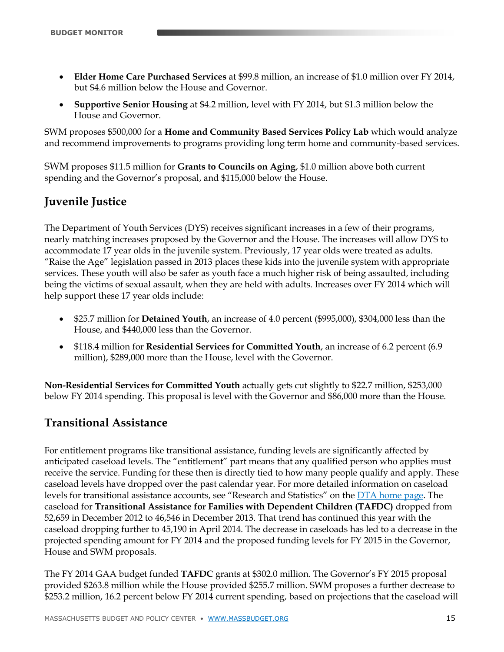- **Elder Home Care Purchased Services** at \$99.8 million, an increase of \$1.0 million over FY 2014, but \$4.6 million below the House and Governor.
- **Supportive Senior Housing** at \$4.2 million, level with FY 2014, but \$1.3 million below the House and Governor.

SWM proposes \$500,000 for a **Home and Community Based Services Policy Lab** which would analyze and recommend improvements to programs providing long term home and community-based services.

SWM proposes \$11.5 million for **Grants to Councils on Aging**, \$1.0 million above both current spending and the Governor's proposal, and \$115,000 below the House.

## **Juvenile Justice**

The Department of Youth Services (DYS) receives significant increases in a few of their programs, nearly matching increases proposed by the Governor and the House. The increases will allow DYS to accommodate 17 year olds in the juvenile system. Previously, 17 year olds were treated as adults. "Raise the Age" legislation passed in 2013 places these kids into the juvenile system with appropriate services. These youth will also be safer as youth face a much higher risk of being assaulted, including being the victims of sexual assault, when they are held with adults. Increases over FY 2014 which will help support these 17 year olds include:

- \$25.7 million for **Detained Youth**, an increase of 4.0 percent (\$995,000), \$304,000 less than the House, and \$440,000 less than the Governor.
- \$118.4 million for **Residential Services for Committed Youth**, an increase of 6.2 percent (6.9 million), \$289,000 more than the House, level with the Governor.

**Non-Residential Services for Committed Youth** actually gets cut slightly to \$22.7 million, \$253,000 below FY 2014 spending. This proposal is level with the Governor and \$86,000 more than the House.

## **Transitional Assistance**

For entitlement programs like transitional assistance, funding levels are significantly affected by anticipated caseload levels. The "entitlement" part means that any qualified person who applies must receive the service. Funding for these then is directly tied to how many people qualify and apply. These caseload levels have dropped over the past calendar year. For more detailed information on caseload levels for transitional assistance accounts, see "Research and Statistics" on the **DTA** home page. The caseload for **Transitional Assistance for Families with Dependent Children (TAFDC)** dropped from 52,659 in December 2012 to 46,546 in December 2013. That trend has continued this year with the caseload dropping further to 45,190 in April 2014. The decrease in caseloads has led to a decrease in the projected spending amount for FY 2014 and the proposed funding levels for FY 2015 in the Governor, House and SWM proposals.

The FY 2014 GAA budget funded **TAFDC** grants at \$302.0 million. The Governor's FY 2015 proposal provided \$263.8 million while the House provided \$255.7 million. SWM proposes a further decrease to \$253.2 million, 16.2 percent below FY 2014 current spending, based on projections that the caseload will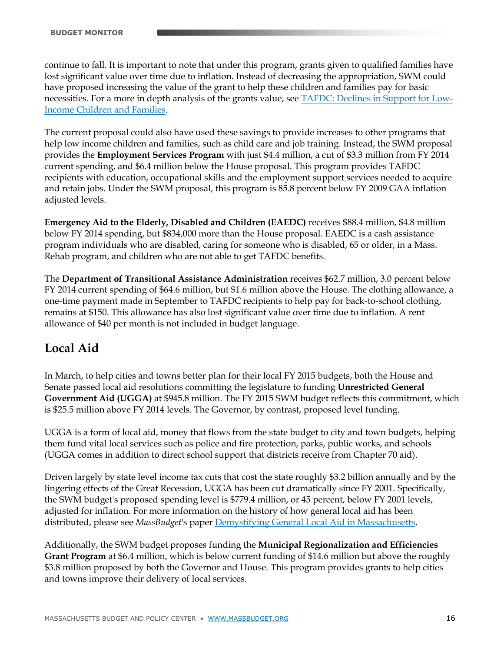continue to fall. It is important to note that under this program, grants given to qualified families have lost significant value over time due to inflation. Instead of decreasing the appropriation, SWM could have proposed increasing the value of the grant to help these children and families pay for basic necessities. For a more in depth analysis of the grants value, see [TAFDC: Declines in Support for Low-](http://www.massbudget.org/report_window.php?loc=declines_tafdc.html)[Income Children and Families.](http://www.massbudget.org/report_window.php?loc=declines_tafdc.html)

The current proposal could also have used these savings to provide increases to other programs that help low income children and families, such as child care and job training. Instead, the SWM proposal provides the **Employment Services Program** with just \$4.4 million, a cut of \$3.3 million from FY 2014 current spending, and \$6.4 million below the House proposal. This program provides TAFDC recipients with education, occupational skills and the employment support services needed to acquire and retain jobs. Under the SWM proposal, this program is 85.8 percent below FY 2009 GAA inflation adjusted levels.

**Emergency Aid to the Elderly, Disabled and Children (EAEDC)** receives \$88.4 million, \$4.8 million below FY 2014 spending, but \$834,000 more than the House proposal. EAEDC is a cash assistance program individuals who are disabled, caring for someone who is disabled, 65 or older, in a Mass. Rehab program, and children who are not able to get TAFDC benefits.

The **Department of Transitional Assistance Administration** receives \$62.7 million, 3.0 percent below FY 2014 current spending of \$64.6 million, but \$1.6 million above the House. The clothing allowance, a one-time payment made in September to TAFDC recipients to help pay for back-to-school clothing, remains at \$150. This allowance has also lost significant value over time due to inflation. A rent allowance of \$40 per month is not included in budget language.

## **Local Aid**

In March, to help cities and towns better plan for their local FY 2015 budgets, both the House and Senate passed local aid resolutions committing the legislature to funding **Unrestricted General Government Aid (UGGA)** at \$945.8 million. The FY 2015 SWM budget reflects this commitment, which is \$25.5 million above FY 2014 levels. The Governor, by contrast, proposed level funding.

UGGA is a form of local aid, money that flows from the state budget to city and town budgets, helping them fund vital local services such as police and fire protection, parks, public works, and schools (UGGA comes in addition to direct school support that districts receive from Chapter 70 aid).

Driven largely by state level income tax cuts that cost the state roughly \$3.2 billion annually and by the lingering effects of the Great Recession, UGGA has been cut dramatically since FY 2001. Specifically, the SWM budget's proposed spending level is \$779.4 million, or 45 percent, below FY 2001 levels, adjusted for inflation. For more information on the history of how general local aid has been distributed, please see *MassBudget*'s paper [Demystifying General Local Aid in Massachusetts.](http://www.massbudget.org/report_window.php?loc=demystifying_general_local_aid.html)

Additionally, the SWM budget proposes funding the **Municipal Regionalization and Efficiencies Grant Program** at \$6.4 million, which is below current funding of \$14.6 million but above the roughly \$3.8 million proposed by both the Governor and House. This program provides grants to help cities and towns improve their delivery of local services.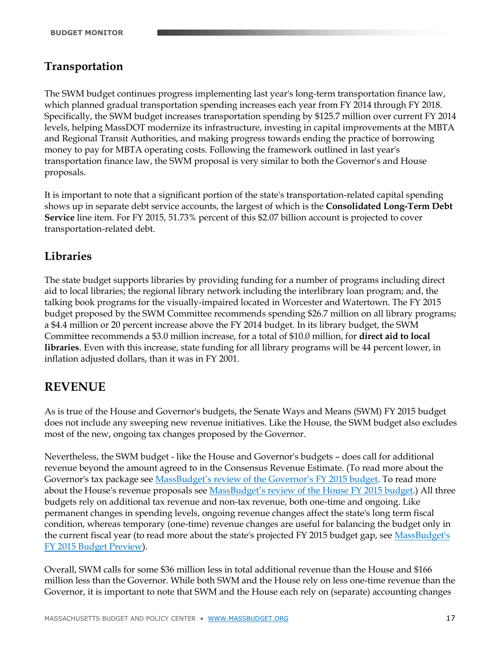## **Transportation**

The SWM budget continues progress implementing last year's long-term transportation finance law, which planned gradual transportation spending increases each year from FY 2014 through FY 2018. Specifically, the SWM budget increases transportation spending by \$125.7 million over current FY 2014 levels, helping MassDOT modernize its infrastructure, investing in capital improvements at the MBTA and Regional Transit Authorities, and making progress towards ending the practice of borrowing money to pay for MBTA operating costs. Following the framework outlined in last year's transportation finance law, the SWM proposal is very similar to both the Governor's and House proposals.

It is important to note that a significant portion of the state's transportation-related capital spending shows up in separate debt service accounts, the largest of which is the **Consolidated Long-Term Debt Service** line item. For FY 2015, 51.73% percent of this \$2.07 billion account is projected to cover transportation-related debt.

### **Libraries**

The state budget supports libraries by providing funding for a number of programs including direct aid to local libraries; the regional library network including the interlibrary loan program; and, the talking book programs for the visually-impaired located in Worcester and Watertown. The FY 2015 budget proposed by the SWM Committee recommends spending \$26.7 million on all library programs; a \$4.4 million or 20 percent increase above the FY 2014 budget. In its library budget, the SWM Committee recommends a \$3.0 million increase, for a total of \$10.0 million, for **direct aid to local libraries**. Even with this increase, state funding for all library programs will be 44 percent lower, in inflation adjusted dollars, than it was in FY 2001.

## **REVENUE**

As is true of the House and Governor's budgets, the Senate Ways and Means (SWM) FY 2015 budget does not include any sweeping new revenue initiatives. Like the House, the SWM budget also excludes most of the new, ongoing tax changes proposed by the Governor.

Nevertheless, the SWM budget - like the House and Governor's budgets – does call for additional revenue beyond the amount agreed to in the Consensus Revenue Estimate. (To read more about the Governor's tax package see [MassBudget's review of the Governor's FY 2015 budget](http://www.massbudget.org/report_window.php?loc=budget_monitor_gov_fy15.html). To read more about the House's revenue proposals see [MassBudget's review of the House FY 2015 budget](http://www.massbudget.org/report_window.php?loc=House%20Budget%20for%20FY%202015-amendments%20adopted%20during%20debate.html).) All three budgets rely on additional tax revenue and non-tax revenue, both one-time and ongoing. Like permanent changes in spending levels, ongoing revenue changes affect the state's long term fiscal condition, whereas temporary (one-time) revenue changes are useful for balancing the budget only in the current fiscal year (to read more about the state's projected FY 2015 budget gap, see [MassBudget's](http://www.massbudget.org/report_window.php?loc=fy15_preview.html)  [FY 2015 Budget Preview\)](http://www.massbudget.org/report_window.php?loc=fy15_preview.html).

Overall, SWM calls for some \$36 million less in total additional revenue than the House and \$166 million less than the Governor. While both SWM and the House rely on less one-time revenue than the Governor, it is important to note that SWM and the House each rely on (separate) accounting changes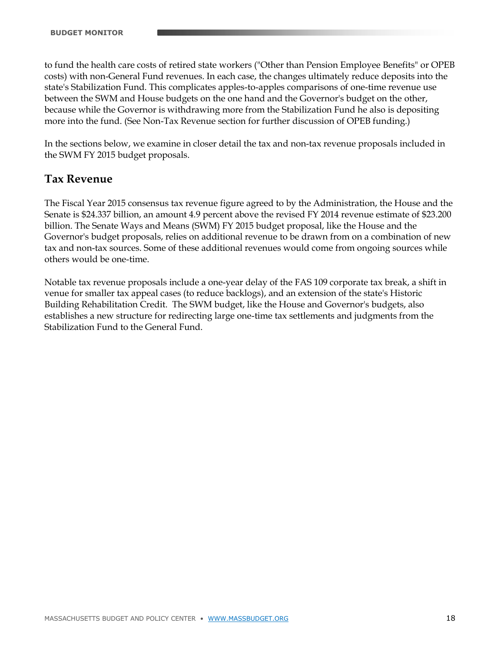to fund the health care costs of retired state workers ("Other than Pension Employee Benefits" or OPEB costs) with non-General Fund revenues. In each case, the changes ultimately reduce deposits into the state's Stabilization Fund. This complicates apples-to-apples comparisons of one-time revenue use between the SWM and House budgets on the one hand and the Governor's budget on the other, because while the Governor is withdrawing more from the Stabilization Fund he also is depositing more into the fund. (See Non-Tax Revenue section for further discussion of OPEB funding.)

In the sections below, we examine in closer detail the tax and non-tax revenue proposals included in the SWM FY 2015 budget proposals.

#### **Tax Revenue**

The Fiscal Year 2015 consensus tax revenue figure agreed to by the Administration, the House and the Senate is \$24.337 billion, an amount 4.9 percent above the revised FY 2014 revenue estimate of \$23.200 billion. The Senate Ways and Means (SWM) FY 2015 budget proposal, like the House and the Governor's budget proposals, relies on additional revenue to be drawn from on a combination of new tax and non-tax sources. Some of these additional revenues would come from ongoing sources while others would be one-time.

Notable tax revenue proposals include a one-year delay of the FAS 109 corporate tax break, a shift in venue for smaller tax appeal cases (to reduce backlogs), and an extension of the state's Historic Building Rehabilitation Credit. The SWM budget, like the House and Governor's budgets, also establishes a new structure for redirecting large one-time tax settlements and judgments from the Stabilization Fund to the General Fund.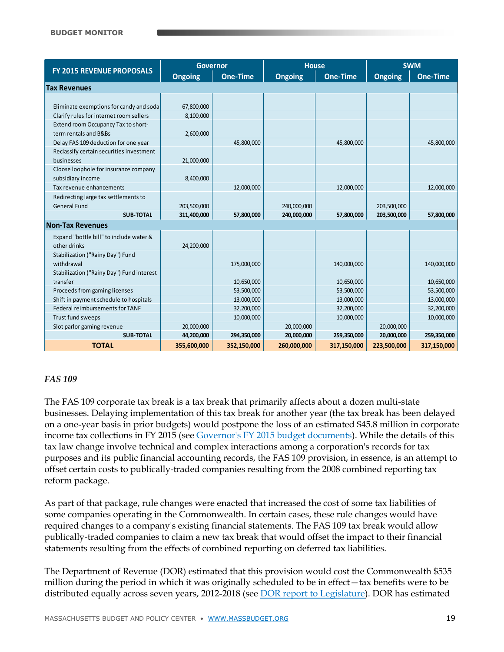|                                           | <b>Governor</b> |                 | <b>House</b>   |             | <b>SWM</b>     |                 |
|-------------------------------------------|-----------------|-----------------|----------------|-------------|----------------|-----------------|
| <b>FY 2015 REVENUE PROPOSALS</b>          | <b>Ongoing</b>  | <b>One-Time</b> | <b>Ongoing</b> | One-Time    | <b>Ongoing</b> | <b>One-Time</b> |
| <b>Tax Revenues</b>                       |                 |                 |                |             |                |                 |
|                                           |                 |                 |                |             |                |                 |
| Eliminate exemptions for candy and soda   | 67,800,000      |                 |                |             |                |                 |
| Clarify rules for internet room sellers   | 8,100,000       |                 |                |             |                |                 |
| Extend room Occupancy Tax to short-       |                 |                 |                |             |                |                 |
| term rentals and B&Bs                     | 2,600,000       |                 |                |             |                |                 |
| Delay FAS 109 deduction for one year      |                 | 45,800,000      |                | 45,800,000  |                | 45,800,000      |
| Reclassify certain securities investment  |                 |                 |                |             |                |                 |
| businesses                                | 21,000,000      |                 |                |             |                |                 |
| Cloose loophole for insurance company     |                 |                 |                |             |                |                 |
| subsidiary income                         | 8,400,000       |                 |                |             |                |                 |
| Tax revenue enhancements                  |                 | 12,000,000      |                | 12,000,000  |                | 12,000,000      |
| Redirecting large tax settlements to      |                 |                 |                |             |                |                 |
| <b>General Fund</b>                       | 203,500,000     |                 | 240,000,000    |             | 203,500,000    |                 |
| <b>SUB-TOTAL</b>                          | 311,400,000     | 57,800,000      | 240,000,000    | 57,800,000  | 203,500,000    | 57,800,000      |
| <b>Non-Tax Revenues</b>                   |                 |                 |                |             |                |                 |
| Expand "bottle bill" to include water &   |                 |                 |                |             |                |                 |
| other drinks                              | 24,200,000      |                 |                |             |                |                 |
| Stabilization ("Rainy Day") Fund          |                 |                 |                |             |                |                 |
| withdrawal                                |                 | 175,000,000     |                | 140,000,000 |                | 140,000,000     |
| Stabilization ("Rainy Day") Fund interest |                 |                 |                |             |                |                 |
| transfer                                  |                 | 10,650,000      |                | 10,650,000  |                | 10,650,000      |
| Proceeds from gaming licenses             |                 | 53,500,000      |                | 53,500,000  |                | 53,500,000      |
| Shift in payment schedule to hospitals    |                 | 13,000,000      |                | 13,000,000  |                | 13,000,000      |
| Federal reimbursements for TANF           |                 | 32,200,000      |                | 32,200,000  |                | 32,200,000      |
| Trust fund sweeps                         |                 | 10,000,000      |                | 10,000,000  |                | 10,000,000      |
| Slot parlor gaming revenue                | 20,000,000      |                 | 20,000,000     |             | 20,000,000     |                 |
| <b>SUB-TOTAL</b>                          | 44,200,000      | 294,350,000     | 20,000,000     | 259,350,000 | 20,000,000     | 259,350,000     |
| <b>TOTAL</b>                              | 355,600,000     | 352,150,000     | 260,000,000    | 317,150,000 | 223,500,000    | 317,150,000     |

#### *FAS 109*

The FAS 109 corporate tax break is a tax break that primarily affects about a dozen multi-state businesses. Delaying implementation of this tax break for another year (the tax break has been delayed on a one-year basis in prior budgets) would postpone the loss of an estimated \$45.8 million in corporate income tax collections in FY 2015 (se[e Governor's FY 2015 budget documents\)](http://www.mass.gov/bb/h1/fy15h1/brec_15/hsect1a.htm). While the details of this tax law change involve technical and complex interactions among a corporation's records for tax purposes and its public financial accounting records, the FAS 109 provision, in essence, is an attempt to offset certain costs to publically-traded companies resulting from the 2008 combined reporting tax reform package.

As part of that package, rule changes were enacted that increased the cost of some tax liabilities of some companies operating in the Commonwealth. In certain cases, these rule changes would have required changes to a company's existing financial statements. The FAS 109 tax break would allow publically-traded companies to claim a new tax break that would offset the impact to their financial statements resulting from the effects of combined reporting on deferred tax liabilities.

The Department of Revenue (DOR) estimated that this provision would cost the Commonwealth \$535 million during the period in which it was originally scheduled to be in effect—tax benefits were to be distributed equally across seven years, 2012-2018 (see [DOR report to Legislature\)](http://www.massbudget.org/reports/pdf/DOR_FAS109Report_Sept2009.pdf). DOR has estimated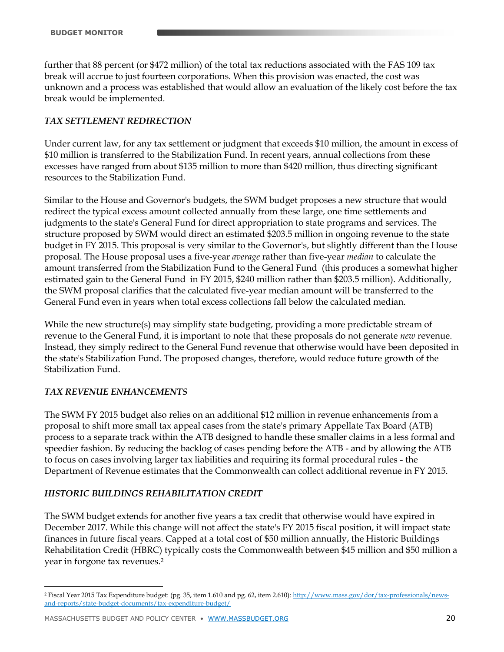further that 88 percent (or \$472 million) of the total tax reductions associated with the FAS 109 tax break will accrue to just fourteen corporations. When this provision was enacted, the cost was unknown and a process was established that would allow an evaluation of the likely cost before the tax break would be implemented.

#### *TAX SETTLEMENT REDIRECTION*

Under current law, for any tax settlement or judgment that exceeds \$10 million, the amount in excess of \$10 million is transferred to the Stabilization Fund. In recent years, annual collections from these excesses have ranged from about \$135 million to more than \$420 million, thus directing significant resources to the Stabilization Fund.

Similar to the House and Governor's budgets, the SWM budget proposes a new structure that would redirect the typical excess amount collected annually from these large, one time settlements and judgments to the state's General Fund for direct appropriation to state programs and services. The structure proposed by SWM would direct an estimated \$203.5 million in ongoing revenue to the state budget in FY 2015. This proposal is very similar to the Governor's, but slightly different than the House proposal. The House proposal uses a five-year *average* rather than five-year *median* to calculate the amount transferred from the Stabilization Fund to the General Fund (this produces a somewhat higher estimated gain to the General Fund in FY 2015, \$240 million rather than \$203.5 million). Additionally, the SWM proposal clarifies that the calculated five-year median amount will be transferred to the General Fund even in years when total excess collections fall below the calculated median.

While the new structure(s) may simplify state budgeting, providing a more predictable stream of revenue to the General Fund, it is important to note that these proposals do not generate *new* revenue. Instead, they simply redirect to the General Fund revenue that otherwise would have been deposited in the state's Stabilization Fund. The proposed changes, therefore, would reduce future growth of the Stabilization Fund.

#### *TAX REVENUE ENHANCEMENTS*

 $\overline{a}$ 

The SWM FY 2015 budget also relies on an additional \$12 million in revenue enhancements from a proposal to shift more small tax appeal cases from the state's primary Appellate Tax Board (ATB) process to a separate track within the ATB designed to handle these smaller claims in a less formal and speedier fashion. By reducing the backlog of cases pending before the ATB - and by allowing the ATB to focus on cases involving larger tax liabilities and requiring its formal procedural rules - the Department of Revenue estimates that the Commonwealth can collect additional revenue in FY 2015.

#### *HISTORIC BUILDINGS REHABILITATION CREDIT*

The SWM budget extends for another five years a tax credit that otherwise would have expired in December 2017. While this change will not affect the state's FY 2015 fiscal position, it will impact state finances in future fiscal years. Capped at a total cost of \$50 million annually, the Historic Buildings Rehabilitation Credit (HBRC) typically costs the Commonwealth between \$45 million and \$50 million a year in forgone tax revenues.<sup>2</sup>

<sup>&</sup>lt;sup>2</sup> Fiscal Year 2015 Tax Expenditure budget: (pg. 35, item 1.610 and pg. 62, item 2.610): [http://www.mass.gov/dor/tax-professionals/news](http://www.mass.gov/dor/tax-professionals/news-and-reports/state-budget-documents/tax-expenditure-budget/)[and-reports/state-budget-documents/tax-expenditure-budget/](http://www.mass.gov/dor/tax-professionals/news-and-reports/state-budget-documents/tax-expenditure-budget/)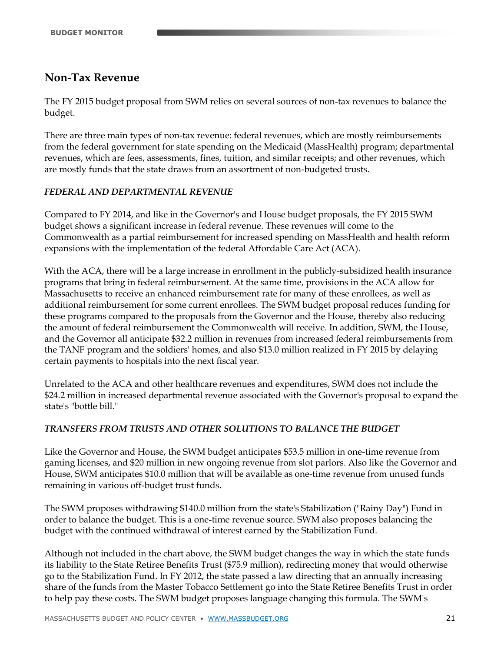## **Non-Tax Revenue**

The FY 2015 budget proposal from SWM relies on several sources of non-tax revenues to balance the budget.

There are three main types of non-tax revenue: federal revenues, which are mostly reimbursements from the federal government for state spending on the Medicaid (MassHealth) program; departmental revenues, which are fees, assessments, fines, tuition, and similar receipts; and other revenues, which are mostly funds that the state draws from an assortment of non-budgeted trusts.

#### *FEDERAL AND DEPARTMENTAL REVENUE*

Compared to FY 2014, and like in the Governor's and House budget proposals, the FY 2015 SWM budget shows a significant increase in federal revenue. These revenues will come to the Commonwealth as a partial reimbursement for increased spending on MassHealth and health reform expansions with the implementation of the federal Affordable Care Act (ACA).

With the ACA, there will be a large increase in enrollment in the publicly-subsidized health insurance programs that bring in federal reimbursement. At the same time, provisions in the ACA allow for Massachusetts to receive an enhanced reimbursement rate for many of these enrollees, as well as additional reimbursement for some current enrollees. The SWM budget proposal reduces funding for these programs compared to the proposals from the Governor and the House, thereby also reducing the amount of federal reimbursement the Commonwealth will receive. In addition, SWM, the House, and the Governor all anticipate \$32.2 million in revenues from increased federal reimbursements from the TANF program and the soldiers' homes, and also \$13.0 million realized in FY 2015 by delaying certain payments to hospitals into the next fiscal year.

Unrelated to the ACA and other healthcare revenues and expenditures, SWM does not include the \$24.2 million in increased departmental revenue associated with the Governor's proposal to expand the state's "bottle bill."

#### *TRANSFERS FROM TRUSTS AND OTHER SOLUTIONS TO BALANCE THE BUDGET*

Like the Governor and House, the SWM budget anticipates \$53.5 million in one-time revenue from gaming licenses, and \$20 million in new ongoing revenue from slot parlors. Also like the Governor and House, SWM anticipates \$10.0 million that will be available as one-time revenue from unused funds remaining in various off-budget trust funds.

The SWM proposes withdrawing \$140.0 million from the state's Stabilization ("Rainy Day") Fund in order to balance the budget. This is a one-time revenue source. SWM also proposes balancing the budget with the continued withdrawal of interest earned by the Stabilization Fund.

Although not included in the chart above, the SWM budget changes the way in which the state funds its liability to the State Retiree Benefits Trust (\$75.9 million), redirecting money that would otherwise go to the Stabilization Fund. In FY 2012, the state passed a law directing that an annually increasing share of the funds from the Master Tobacco Settlement go into the State Retiree Benefits Trust in order to help pay these costs. The SWM budget proposes language changing this formula. The SWM's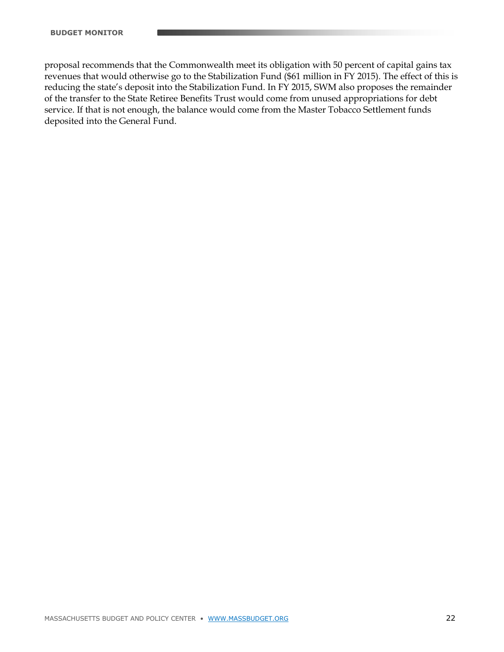proposal recommends that the Commonwealth meet its obligation with 50 percent of capital gains tax revenues that would otherwise go to the Stabilization Fund (\$61 million in FY 2015). The effect of this is reducing the state's deposit into the Stabilization Fund. In FY 2015, SWM also proposes the remainder of the transfer to the State Retiree Benefits Trust would come from unused appropriations for debt service. If that is not enough, the balance would come from the Master Tobacco Settlement funds deposited into the General Fund.